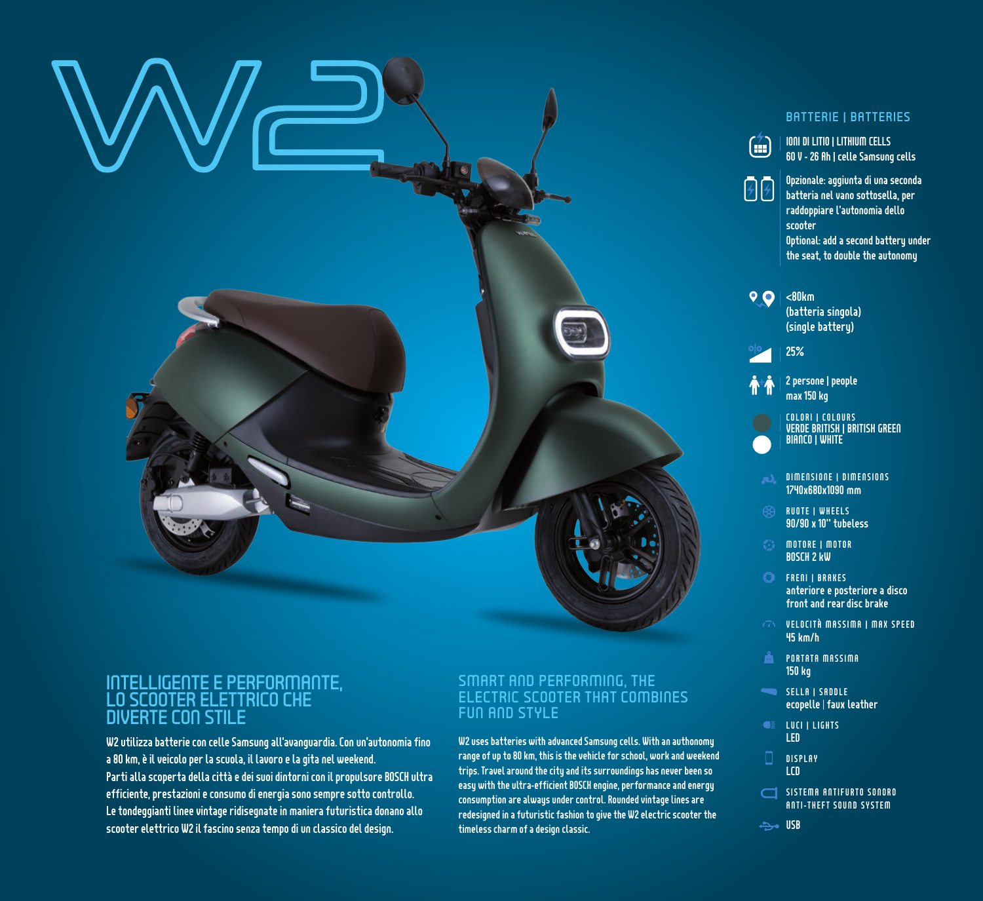

# INTELLIGENTE E PERFORMANTE, LO SCOOTER ELETTRICO CHE DIVERTE CON STILE

W2 utilizza batterie con celle Samsung all'avanguardia. Con un'autonomia fino a 80 km, è il veicolo per la scuola, il lavoro e la gita nel weekend. Parti alla scoperta della città e dei suoi dintorni con il propulsore BOSCH ultra efficiente, prestazioni e consumo di energia sono sempre sotto controllo. Le tondeggianti linee vintage ridisegnate in maniera futuristica donano allo scooter elettrico W2 il fascino senza tempo di un classico del design.

### SMART AND PERFORMING, THE ELECTRIC SCOOTER THAT COMBINES **FUN AND STYLE**

W2 uses batteries with advanced Samsung cells. With an authonomy range of up to 80 km, this is the vehicle for school, work and weekend trips. Travel around the city and its surroundings has never been so easy with the ultra-efficient BOSCH engine, performance and energy consumption are always under control. Rounded vintage lines are redesigned in a futuristic fashion to give the W2 electric scooter the timeless charm of a design classic.

#### BATTERIE | BATTERIES

(論)

IONI DI LITIO | LITHIUM CELLS 60 V - 26 Ah | celle Samsung cells

Opzionale: aggiunta di una seconda 团团 batteria nel vano sottosella, per raddoppiare l'autonomia dello scooter Optional: add a second battery under the seat, to double the autonomy

9 O | <80km (batteria singola) (single battery)

> + 2 persone | people max 150 kg

25%

 $|o|$ 

- VERDE BRITISH | BRITISH GREEN BIANCO | WHITE COLORI | COLOURS
- DIMENSIONE | DIMENSIONS 1740x680x1090 mm
- RUOTE | WHEELS 90/90 x 10" tubeless
- MOTORE | MOTOR BOSCH 2 kW
- **C** FRENI | BRAKES anteriore e posteriore a disco front and rear disc brake
- VELOCITÀ MASSIMA | MAX SPEED 45 km/h
- **MANAGEMENTATA MASSIMA** 150 kg
- SELLA I SADDLE ecopelle | faux leather
- **CE LUCI I LIGHTS** LED
- DISPLAY LCD
- SISTEMA ANTIFURTO SONORO ANTI-THEFT SOUND SYSTEM
- USB